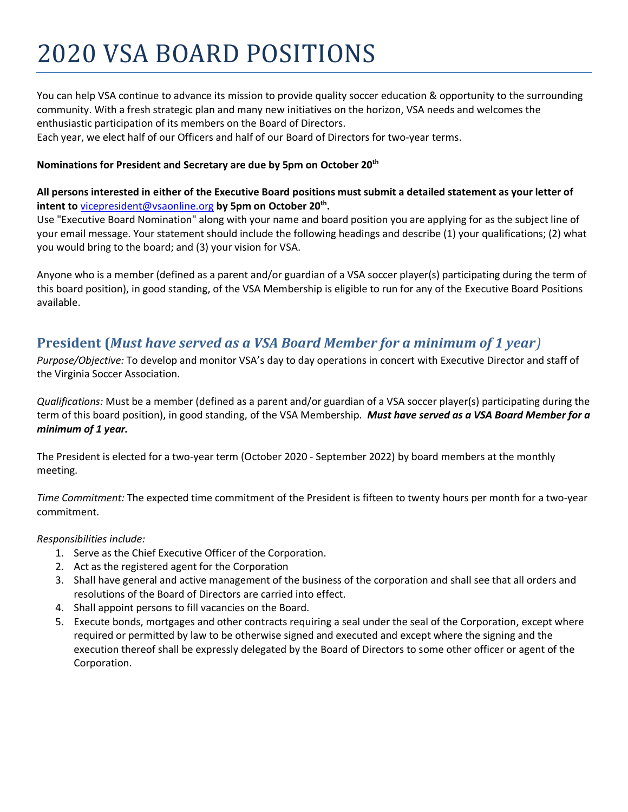# 2020 VSA BOARD POSITIONS

You can help VSA continue to advance its mission to provide quality soccer education & opportunity to the surrounding community. With a fresh strategic plan and many new initiatives on the horizon, VSA needs and welcomes the enthusiastic participation of its members on the Board of Directors.

Each year, we elect half of our Officers and half of our Board of Directors for two-year terms.

## **Nominations for President and Secretary are due by 5pm on October 20th**

## **All persons interested in either of the Executive Board positions must submit a detailed statement as your letter of intent to** [vicepresident@vsaonline.org](mailto:vicepresident@vsaonline.org) **by 5pm on October 20th .**

Use "Executive Board Nomination" along with your name and board position you are applying for as the subject line of your email message. Your statement should include the following headings and describe (1) your qualifications; (2) what you would bring to the board; and (3) your vision for VSA.

Anyone who is a member (defined as a parent and/or guardian of a VSA soccer player(s) participating during the term of this board position), in good standing, of the VSA Membership is eligible to run for any of the Executive Board Positions available.

## **President (***Must have served as a VSA Board Member for a minimum of 1 year)*

*Purpose/Objective:* To develop and monitor VSA's day to day operations in concert with Executive Director and staff of the Virginia Soccer Association.

*Qualifications:* Must be a member (defined as a parent and/or guardian of a VSA soccer player(s) participating during the term of this board position), in good standing, of the VSA Membership. *Must have served as a VSA Board Member for a minimum of 1 year.*

The President is elected for a two-year term (October 2020 - September 2022) by board members at the monthly meeting.

*Time Commitment:* The expected time commitment of the President is fifteen to twenty hours per month for a two-year commitment.

## *Responsibilities include:*

- 1. Serve as the Chief Executive Officer of the Corporation.
- 2. Act as the registered agent for the Corporation
- 3. Shall have general and active management of the business of the corporation and shall see that all orders and resolutions of the Board of Directors are carried into effect.
- 4. Shall appoint persons to fill vacancies on the Board.
- 5. Execute bonds, mortgages and other contracts requiring a seal under the seal of the Corporation, except where required or permitted by law to be otherwise signed and executed and except where the signing and the execution thereof shall be expressly delegated by the Board of Directors to some other officer or agent of the Corporation.